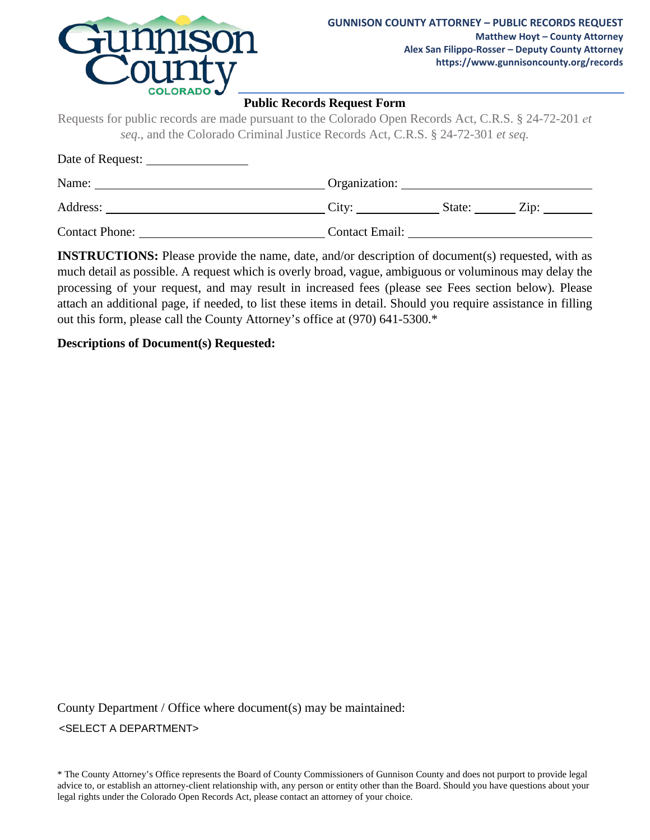

#### **Public Records Request Form**

Requests for public records are made pursuant to the Colorado Open Records Act, C.R.S. § 24-72-201 *et seq*., and the Colorado Criminal Justice Records Act, C.R.S. § 24-72-301 *et seq.*

| Date of Request:      |                       |        |            |  |
|-----------------------|-----------------------|--------|------------|--|
| Name:                 | Organization:         |        |            |  |
| Address:              | City:                 | State: | $\rm Zip:$ |  |
| <b>Contact Phone:</b> | <b>Contact Email:</b> |        |            |  |

**INSTRUCTIONS:** Please provide the name, date, and/or description of document(s) requested, with as much detail as possible. A request which is overly broad, vague, ambiguous or voluminous may delay the processing of your request, and may result in increased fees (please see Fees section below). Please attach an additional page, if needed, to list these items in detail. Should you require assistance in filling out this form, please call the County Attorney's office at (970) 641-5300.\*

#### **Descriptions of Document(s) Requested:**

County Department / Office where document(s) may be maintained: <SELECT A DEPARTMENT>

\* The County Attorney's Office represents the Board of County Commissioners of Gunnison County and does not purport to provide legal advice to, or establish an attorney-client relationship with, any person or entity other than the Board. Should you have questions about your legal rights under the Colorado Open Records Act, please contact an attorney of your choice.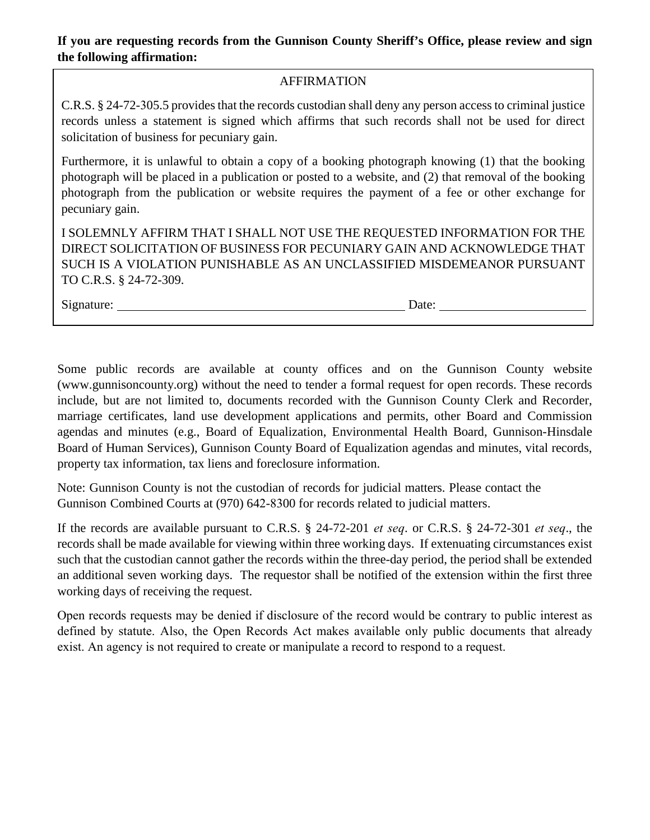# **If you are requesting records from the Gunnison County Sheriff's Office, please review and sign the following affirmation:**

## AFFIRMATION

C.R.S. § 24-72-305.5 provides that the records custodian shall deny any person access to criminal justice records unless a statement is signed which affirms that such records shall not be used for direct solicitation of business for pecuniary gain.

Furthermore, it is unlawful to obtain a copy of a booking photograph knowing (1) that the booking photograph will be placed in a publication or posted to a website, and (2) that removal of the booking photograph from the publication or website requires the payment of a fee or other exchange for pecuniary gain.

I SOLEMNLY AFFIRM THAT I SHALL NOT USE THE REQUESTED INFORMATION FOR THE DIRECT SOLICITATION OF BUSINESS FOR PECUNIARY GAIN AND ACKNOWLEDGE THAT SUCH IS A VIOLATION PUNISHABLE AS AN UNCLASSIFIED MISDEMEANOR PURSUANT TO C.R.S. § 24-72-309.

Signature: Date: Date:

Some public records are available at county offices and on the Gunnison County website (www.gunnisoncounty.org) without the need to tender a formal request for open records. These records include, but are not limited to, documents recorded with the Gunnison County Clerk and Recorder, marriage certificates, land use development applications and permits, other Board and Commission agendas and minutes (e.g., Board of Equalization, Environmental Health Board, Gunnison-Hinsdale Board of Human Services), Gunnison County Board of Equalization agendas and minutes, vital records, property tax information, tax liens and foreclosure information.

Note: Gunnison County is not the custodian of records for judicial matters. Please contact the Gunnison Combined Courts at (970) 642-8300 for records related to judicial matters.

If the records are available pursuant to C.R.S. § 24-72-201 *et seq*. or C.R.S. § 24-72-301 *et seq*., the records shall be made available for viewing within three working days. If extenuating circumstances exist such that the custodian cannot gather the records within the three-day period, the period shall be extended an additional seven working days. The requestor shall be notified of the extension within the first three working days of receiving the request.

Open records requests may be denied if disclosure of the record would be contrary to public interest as defined by statute. Also, the Open Records Act makes available only public documents that already exist. An agency is not required to create or manipulate a record to respond to a request.